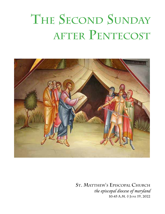# **The Second Sunday AFTER PENTECOST**



**St. Matthew's Episcopal Church** *the episcopal diocese of maryland* **10:45 A.M. ◊ June 19, 2022**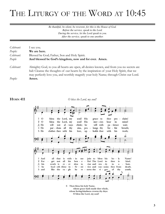## THE LITURGY OF THE WORD AT 10:45

*Be thankful, be silent, be reverent, for this is the House of God. Before the service, speak to the Lord. During the service, let the Lord speak to you. After the service, speak to one another.*

| Celebrant:                                                      | I see you.                                                       |
|-----------------------------------------------------------------|------------------------------------------------------------------|
| People:                                                         | We are here.                                                     |
| Celebrant:                                                      | Blessed be God; Father, Son and Holy Spirit.                     |
| And blessed be God's kingdom, now and for ever. Amen.<br>People |                                                                  |
| Celebrant:                                                      | Almighty God, to you all hearts are open, all desires known, and |

ghty God, to you all hearts are open, all desires known, and from you no secrets are hid: Cleanse the thoughts of our hearts by the inspiration of your Holy Spirit, that we may perfectly love you, and worthily magnify your holy Name; through Christ our Lord. *People:* **Amen.**

**Hymn 411** *O bless the Lord, my soul!*



 $6\phantom{.0}$ Then bless his holy Name, whose grace hath made thee whole, whose loving-kindness crowns thy days: O bless the Lord, my soul!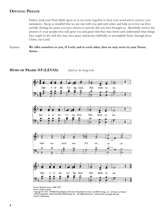## **Opening Prayer**

Father, send your Holy Spirit upon us as we come together to hear your word and to receive your sacrament. Keep us mindful that we are one with you and each other and help us to live our lives joyfully sharing the grace you have shown us and the life you have brought us. Mercifully receive the prayers of your people who call upon you and grant that they may know and understand what things they ought to do; and also may have grace and power faithfully to accomplish them, through Jesus Christ, our Lord.

*Response:* **We offer ourselves to you, O Lord, and to each other, that we may serve in your Name. Amen.**

### **Hymn of Praise 115 (LEVAS)** *Spirit of the living God*



Words: Daniel Iverson (1890-1977)

Copyright © 1935, 1963 Birdwing Music (a Division of the Sparrow Corp.) and BMG Songs, Inc. All Rights on Behalf of Birdwing Music Administered by BMG Songs, Inc. All Rights Reserved. International Copyright Secured. Used by Permission.

Music: Daniel Iverson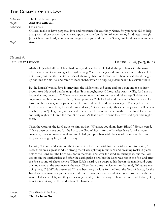## **The Collect of the Day**

| Celebrant: | The Lord be with you.                                                                                 |
|------------|-------------------------------------------------------------------------------------------------------|
| People:    | And also with you.                                                                                    |
| Celebrant: | Let us pray.                                                                                          |
|            | O Lord, make us have perpetual love and reverence for your holy Name, for you never fail to help      |
|            | and govern those whom you have set upon the sure foundation of your loving-kindness; through          |
|            | Jesus Christ our Lord, who lives and reigns with you and the Holy Spirit, one God, for ever and ever. |
| People:    | Amen.                                                                                                 |

## *The people sit.*

## **The First Lesson: 1 Kings 19:1-4, (5-7), 8-15a**

Ahab told Jezebel all that Elijah had done, and how he had killed all the prophets with the sword. Then Jezebel sent a messenger to Elijah, saying, "So may the gods do to me, and more also, if I do not make your life like the life of one of them by this time tomorrow." Then he was afraid; he got up and fled for his life, and came to Beer-sheba, which belongs to Judah; he left his servant there.

But he himself went a day's journey into the wilderness, and came and sat down under a solitary broom tree. He asked that he might die: "It is enough; now, O Lord, take away my life, for I am no better than my ancestors." [Then he lay down under the broom tree and fell asleep. Suddenly an angel touched him and said to him, "Get up and eat." He looked, and there at his head was a cake baked on hot stones, and a jar of water. He ate and drank, and lay down again. The angel of the Lord came a second time, touched him, and said, "Get up and eat, otherwise the journey will be too much for you."] He got up, and ate and drank; then he went in the strength of that food forty days and forty nights to Horeb the mount of God. At that place he came to a cave, and spent the night there.

Then the word of the Lord came to him, saying, "What are you doing here, Elijah?" He answered, "I have been very zealous for the Lord, the God of hosts; for the Israelites have forsaken your covenant, thrown down your altars, and killed your prophets with the sword. I alone am left, and they are seeking my life, to take it away."

He said, "Go out and stand on the mountain before the Lord, for the Lord is about to pass by." Now there was a great wind, so strong that it was splitting mountains and breaking rocks in pieces before the Lord, but the Lord was not in the wind; and after the wind an earthquake, but the Lord was not in the earthquake; and after the earthquake a fire, but the Lord was not in the fire; and after the fire a sound of sheer silence. When Elijah heard it, he wrapped his face in his mantle and went out and stood at the entrance of the cave. Then there came a voice to him that said, "What are you doing here, Elijah?" He answered, "I have been very zealous for the Lord, the God of hosts; for the Israelites have forsaken your covenant, thrown down your altars, and killed your prophets with the sword. I alone am left, and they are seeking my life, to take it away." Then the Lord said to him, "Go, return on your way to the wilderness of Damascus."

*Reader:* The Word of the Lord. *People:* **Thanks be to God.**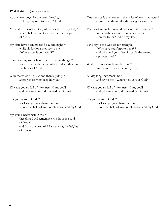#### **Psalm 42** *Quemadmodum*

As the deer longs for the water-brooks, \* so longs my soul for you, O God.

My soul is athirst for God, athirst for the living God; \* when shall I come to appear before the presence of God?

My tears have been my food day and night, \* while all day long they say to me, "Where now is your God?"

I pour out my soul when I think on these things: \* how I went with the multitude and led them into the house of God,

With the voice of praise and thanksgiving,  $*$ among those who keep holy-day.

Why are you so full of heaviness, O my soul? \* and why are you so disquieted within me?

Put your trust in God; \* for I will yet give thanks to him, who is the help of my countenance, and my God.

My soul is heavy within me; \*

therefore I will remember you from the land of Jordan, and from the peak of Mizar among the heights of Hermon.

One deep calls to another in the noise of your cataracts; \* all your rapids and floods have gone over me.

The Lord grants his loving-kindness in the daytime; \* in the night season his song is with me, a prayer to the God of my life.

I will say to the God of my strength, "Why have you forgotten me? \* and why do I go so heavily while the enemy oppresses me?"

While my bones are being broken, \* my enemies mock me to my face;

All day long they mock me \* and say to me, "Where now is your God?"

Why are you so full of heaviness, O my soul? \* and why are you so disquieted within me?

Put your trust in God; \* for I will yet give thanks to him, who is the help of my countenance, and my God.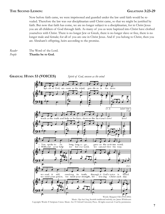#### **The Second Lesson: Galatians 3:23-29**

Now before faith came, we were imprisoned and guarded under the law until faith would be revealed. Therefore the law was our disciplinarian until Christ came, so that we might be justified by faith. But now that faith has come, we are no longer subject to a disciplinarian, for in Christ Jesus you are all children of God through faith. As many of you as were baptized into Christ have clothed yourselves with Christ. There is no longer Jew or Greek, there is no longer slave or free, there is no longer male and female; for all of you are one in Christ Jesus. And if you belong to Christ, then you are Abraham's offspring, heirs according to the promise.

*Reader* The Word of the Lord. *People* **Thanks be to God.**



### **Gradual Hymn 53 (VOICES)** *Spirit of God, unseen as the wind*

Music: *Skye boat Song*, Scottish traditional melody; arr. James Whitbourn Copyright: Words: © Scripture Union. Music: Arr. © Oxford University Press. All rights reserved. Used by permission.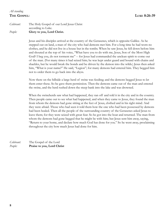## *All standing*

### *Celebrant:* The Holy Gospel of our Lord Jesus Christ according to Luke. *People:* **Glory to you, Lord Christ.**

Jesus and his disciples arrived at the country of the Gerasenes, which is opposite Galilee. As he stepped out on land, a man of the city who had demons met him. For a long time he had worn no clothes, and he did not live in a house but in the tombs. When he saw Jesus, he fell down before him and shouted at the top of his voice, "What have you to do with me, Jesus, Son of the Most High God? I beg you, do not torment me" -- for Jesus had commanded the unclean spirit to come out of the man. (For many times it had seized him; he was kept under guard and bound with chains and shackles, but he would break the bonds and be driven by the demon into the wilds.) Jesus then asked him, "What is your name?" He said, "Legion"; for many demons had entered him. They begged him not to order them to go back into the abyss.

Now there on the hillside a large herd of swine was feeding; and the demons begged Jesus to let them enter these. So he gave them permission. Then the demons came out of the man and entered the swine, and the herd rushed down the steep bank into the lake and was drowned.

When the swineherds saw what had happened, they ran off and told it in the city and in the country. Then people came out to see what had happened, and when they came to Jesus, they found the man from whom the demons had gone sitting at the feet of Jesus, clothed and in his right mind. And they were afraid. Those who had seen it told them how the one who had been possessed by demons had been healed. Then all the people of the surrounding country of the Gerasenes asked Jesus to leave them; for they were seized with great fear. So he got into the boat and returned. The man from whom the demons had gone begged that he might be with him; but Jesus sent him away, saying, "Return to your home, and declare how much God has done for you." So he went away, proclaiming throughout the city how much Jesus had done for him.

*Celebrant:* The Gospel of the Lord *People:* **Praise to you, Lord Christ**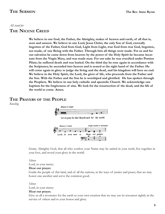## **The Sermon The Rev. Anne Byrne**

#### *All stand for*

## **The Nicene Creed**

**We believe in one God, the Father, the Almighty, maker of heaven and earth, of all that is, seen and unseen. We believe in one Lord, Jesus Christ, the only Son of God, eternally begotten of the Father, God from God, Light from Light, true God from true God, begotten, not made, of one Being with the Father. Through him all things were made. For us and for our salvation he came down from heaven: by the power of the Holy Spirit he became incarnate from the Virgin Mary, and was made man. For our sake he was crucified under Pontius Pilate; he suffered death and was buried. On the third day he rose again in accordance with the Scriptures; he ascended into heaven and is seated at the right hand of the Father. He will come again in glory to judge the living and the dead, and his kingdom will have no end. We believe in the Holy Spirit, the Lord, the giver of life, who proceeds from the Father and the Son. With the Father and the Son he is worshiped and glorified. He has spoken through the Prophets. We believe in one holy catholic and apostolic Church. We acknowledge one baptism for the forgiveness of sins. We look for the resurrection of the dead, and the life of the world to come. Amen.**

## **The Prayers of the People**

*Kneeling*





Grant, Almighty God, that all who confess your Name may be united in your truth, live together in your love, and reveal your glory in the world.

#### *Silence*

Lord, in your mercy

#### **Hear our prayer.**

Guide the people of this land, and of all the nations, in the ways of justice and peace; that we may honor one another and serve the common good.

 *Silence* Lord, in your mercy

#### **Hear our prayer.**

 Give us all a reverence for the earth as your own creation that we may use its resources rightly in the service of others and to your honor and glory.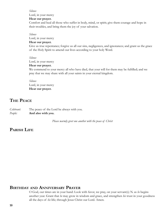### *Silence* Lord, in your mercy

#### **Hear our prayer.**

 Comfort and heal all those who suffer in body, mind, or spirit; give them courage and hope in their troubles, and bring them the joy of your salvation.

#### *Silence*

Lord, in your mercy

#### **Hear our prayer.**

 Give us true repentance; forgive us all our sins, negligences, and ignorances; and grant us the grace of the Holy Spirit to amend our lives according to your holy Word.

#### *Silence*

Lord, in your mercy

#### **Hear our prayer.**

We commend to your mercy all who have died, that your will for them may be fulfilled; and we pray that we may share with all your saints in your eternal kingdom.

 *Silence* Lord, in your mercy **Hear our prayer.**

## **The Peace**

*Celebrant:* The peace of the Lord be always with you. *People:* **And also with you.**

*Please warmly greet one another with the peace of Christ*

## **Parish Life**

## **Birthday and Anniversary Prayer**

O God, our times are in your hand: Look with favor, we pray, on your servant(s) N. as *he* begins another year. Grant that *he* may grow in wisdom and grace, and strengthen *his* trust in your goodness all the days of *his* life; through Jesus Christ our Lord. Amen.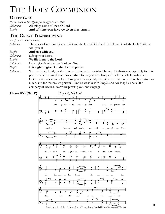## THE HOLY COMMUNION

## **Offertory**

*Please stand as the Offering is brought to the Altar Celebrant:* All things come of thee, O Lord. *People:* **And of thine own have we given thee. Amen.**

## **The Great Thanksgiving**

#### *The people remain standing.*

*Celebrant:* The grace of our Lord Jesus Christ and the love of God and the fellowship of the Holy Spirit be with you all.

*People:* **And also with you.**

*Celebrant:* Lift up your hearts.

*People:* **We lift them to the Lord.**

*Celebrant:* Let us give thanks to the Lord our God.

*People:* **It is right to give God thanks and praise.**

*Celebrant :* We thank you, Lord, for the beauty of this earth, our island home. We thank you especially for this place in which we live; for our lakes and our forests, our farmland, and the life which flourishes here. Guide us in the care of all you have given us, especially in our care of each other. You have given us much, and for that we are grateful. And so we join with Angels and Archangels, and all the company of heaven, evermore praising you, and singing:



Music: American folk melody; arr. Marcia Pruner, harm. Annabel Morris Buchanan (1889-1983)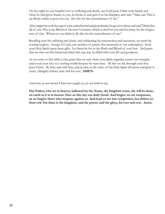On the night he was handed over to suffering and death, our Lord Jesus Christ took bread; and when he had given thanks to you, he broke it, and gave it to his disciples, and said, "Take, eat: This is my Body, which is given for you. Do this for the remembrance of me."

After supper he took the cup of wine; and when he had given thanks, he gave it to them, and said,"Drink this, all of you: This is my Blood of the new Covenant, which is shed for you and for many for the forgiveness of sins. Whenever you drink it, do this for the remembrance of me."

Recalling now his suffering and death, and celebrating his resurrection and ascension, we await his coming in glory. Accept, O Lord, our sacrifice of praise, this memorial of our redemption. Send your Holy Spirit upon these gifts. Let them be for us the Body and Blood of your Son. And grant that we who eat this bread and drink this cup may be filled with your life and goodness.

As we come to this table, Lord, grant that we may share your Spirit together, renew our strength, and reveal your love to a waiting world because we were here. All this we ask through your Son Jesus Christ. By him, and with him, and in him, in the unity of the Holy Spirit all honor and glory is yours, Almighty Father, now and for ever. **AMEN.**

And now, as our Savior Christ has taught us, we are bold to say,

**Our Father, who art in heaven, hallowed be thy Name, thy kingdom come, thy will be done, on earth as it is in heaven. Give us this day our daily bread. And forgive us our trespasses, as we forgive those who trespass against us. And lead us not into temptation, but deliver us from evil. For thine is the kingdom, and the power, and the glory, for ever and ever. Amen.**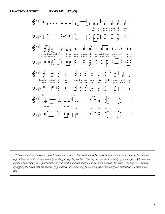#### **Fraction Anthem Hymn 149 (LEVAS)**



*All here are welcome to receive Holy Communion with us. Our tradition is to receive both bread and wine, sharing the common cup. Please assist the chalice bearer by guiding the cup to your lips. You may receive the bread only, if you prefer. After consuming the bread, simply cross your arms over your chest to indicate that you do not wish to receive the wine. You may also "intinct" by dipping the bread into the chalice. If you desire only a blessing, please cross your arms over your chest when you come to the rail.*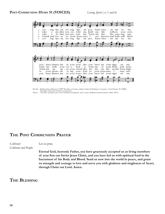

Words: Shirley Erena Murray © 1987 The Hymn Society (admin. Hope Publishing Company, Carol Stream, IL 60188).<br>All rights reserved. Used by permission.<br>Music: *Omni die*, melody from *Gross Catolisch Gesangbuch*, 1631; harm

## **The Post Communion Prayer**

*Celebrant:* Let us pray. *Celebrant and People:*

**Eternal God, heavenly Father, you have graciously accepted us as living members of your Son our Savior Jesus Christ, and you have fed us with spiritual food in the Sacrament of his Body and Blood. Send us now into the world in peace, and grant us strength and courage to love and serve you with gladness and singleness of heart; through Christ our Lord. Amen.**

## **The Blessing**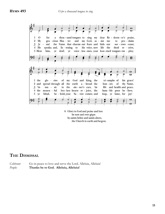

by saints below and saints above, the Church in earth and heaven.

## **The Dismissal**

| Celebrant: | Go in peace to love and serve the Lord. Alleluia, Alleluia! |
|------------|-------------------------------------------------------------|
| People:    | Thanks be to God. Alleluia, Alleluia!                       |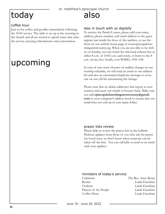# today

## also

## coffee hour

Join us for coffee and goodies immediately following the 10:45 service. The table is set up at the crossing in the church and all are invited to spend some time after the service enjoying refreshments and conversation.

## upcoming

## stay in touch with us digitally

To receive the Parish E-news, please add your name, address, phone number, and email address to the guest register just inside the door of the narthex, or use the form on our website home page at www.episcopalchurchingarrettcounty.org. When you are not able to be with us on Sunday, you can watch the televised webcast live at either 8 a.m. or 10:45 a.m. each week, or listen to the 8 a.m. service live, locally, over WMSG, 1050 AM.

In case of rare snow closures or sudden changes in our worship schedule, we will send an email to our address list and also an automated telephone message to everyone on our call list announcing the change.

Please note that we delete addresses that report as nonexistent and cause our emails to bounce back. Make sure you add **episcopalchurchingarrettcounty@gmail. com** to your computer's address book to ensure that our email does not end up in your spam folder.

## prayer lists review

Please help us review the prayer lists in the bulletin. Without updates from those of you who ask for prayer for loved ones, we don't know when someone can be taken off the lists. You can call Julie or send us an email with your updates.

#### ministers of today's service

| Celebrant:            | The Rev. Anne Byrne |
|-----------------------|---------------------|
| Reader                | Linda Eisenhart     |
| Chalicist             | Linda Eisenhart     |
| Prayers of the People | Linda Eisenhart     |
| Coffee Hosts          | Linda Eisenhart     |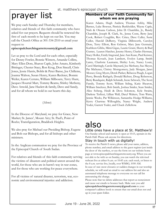# prayer list

We pray each Sunday and Thursday for members, relatives and friends of this faith community who have asked for our prayers. Requests should be renewed the first of each month to be kept on our list. You may call the Church Office at 301-334-2510 or email your request to

#### **episcopalchurchingarrettcounty@gmail.com**

Let us pray to the Lord and for each other, especially for Denny Fowler, Bonnie Winters, Amanda Collins, Mary Ellen Dore, Sharon Caple, John Amato, Kimberly Bittinger, Chester Stacy, Ron Krug, Don Sincell, Chris Jones, Jessie Harris, Bobbi & Peter Banse, Joe Chilleme, Joanna Walton, Susan Henry, Karen Reckner, Bonnie Weiler, Karen Cerrato, William Milbourn, Terry Hunt, Jacques Hourtal Mart, Tommy Reams, Shirley Metheny, Dave Arnold, Jane Hazlett & family, Dave and Sandy, and for all whom we hold in our hearts this day.

(*Silence*)

In the Diocese of Maryland, we pray for Grace, New Market; St. James', Mount Airy; St. Paul's, Point of Rocks; Transfiguration, Braddock Heights.

We also pray for Michael our Presiding Bishop, Eugene and Bob our Bishops, and for all bishops and other ministers.

In the Anglican communion we pray for the Province of the Episcopal Church of South Sudan.

For relatives and friends of this faith community serving the victims of disasters and political unrest around the world, for those who are in harm's way in war zones, and for those who are working for peace everywhere.

For all victims of natural disaster, terrorism, war, economic and environmental injustice and addiction.

### **Members of our Faith Community for whom we are praying**

Karen Adams, Hugh Andrew, Thomas Ashby, Mike Barnes, Luke Bowser, Patricia Burkholder, Wayne Caple, Nick & Oksana Carlson, John D. Chamblin, Jr., Randy Chamblin, Joseph R. Clark, Sr., Jenna Conn, Betty Jane Cook, Robert Coughlin, Rev. Crites, Dave Culler, Susie Culler, Harold DeBerry, Virginia Dillsworth, Carolyn Dore, Terry Elliott, Ron Gebron, Mary Jane Germain, Kathleen Gibbs, Mimi Gigax, Laurie Grant, Sherry & Bud Gunter, Lauren Hatcher, Jeremy Henry, Charles Herman, Stacy Holler, Emily Imgrund, Jane Ann Kane, Paul Keister, Thomas Kovach, Joan Lambert, Evelyn Lamp, Smith Lantz, Charlotte Laumann, Shirley Lotz, Nancy Louie, Carol Mattingly, Carole Maynard, Joe Methany, Sue Meyer, Pat Michener, Christy Montgomery, Judy Morgan, Janet Mosser, Greg Myers, Derek Parker, Rebecca Paugh, Logan Perry, Brenda Rathgeb, Donald Richter, Doug Roberson, Betty Rundquist, Ralph Schmidt, Irene Schrock, The Scott Family, Tommy Scott, William Seling, Katie Shearon, William Smeltzer, Bob Smith, Joshua Snider, Sean Snider, Alice Soberg, Heidi & Deva Solomon, Kyle Swaim, Darlene Terlizzi, Lillian Wall, Daryl Walters, Tom Watts, Jennie Weeks, Pat Wilkinson, Samantha Hodge-Williams, Kerry Chartrau Willoughby, Nancy Wright, Andrew Yoder, Garrett Yoder, and Chuck Zellefrow.

## also

Little ones have a place at St. Matthew's! Our Sunday school and nursery is open at 10:15, upstairs in the Parish Hall. Please ask anyone for directions.

## Stay in touch with us digitally!

To receive the Parish E-news, please add your name, address, phone number, and email address to the guest register just inside the door of the narthex, or use the form on our website home page at www.episcopalchurchingarrettcounty.org. When you are not able to be with us on Sunday, you can watch the televised webcast live at either 8 a.m. or 10:45 a.m. each week, or listen to the 8 a.m. service live, locally, over WMSG, 1050 AM. In case of rare snow closures or sudden changes in our worship schedule, we will send an email to our address list and also an automated telephone message to everyone on our call list announcing the change.

Please note that we delete addresses that report as nonexistent and cause our emails to bounce back. Make sure you add **episcopalchurchingarrettcounty@gmail.com** to your computer's address book to ensure that our email does not end up in your spam folder.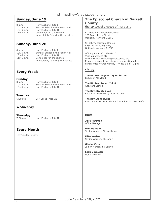#### -st. matthew's episcopal church-

## **Sunday, June 19**

| 8 a.m.       | Holy Eucharist Rite I              |
|--------------|------------------------------------|
| $10:15$ a.m. | Sunday School in the Parish Hall   |
| $10:45$ a.m. | Holy Eucharist Rite II             |
| $11:45$ a.m. | Coffee hour in the chancel         |
|              | immediately following the service. |

## **Sunday, June 26**

| 8 a.m.       | Holy Eucharist Rite I              |
|--------------|------------------------------------|
| $10:15$ a.m. | Sunday School in the Parish Hall   |
| $10:45$ a.m. | Holy Eucharist Rite II             |
| $11:45$ a.m. | Coffee hour in the chancel         |
|              | immediately following the service. |

## **Every Week**

**Sunday**

8 a.m. **Holy Eucharist Rite I**<br>10:15 a.m. Sunday School in the 10:15 a.m. Sunday School in the Parish Hall<br>10:45 a.m. Holy Eucharist Rite II Holy Eucharist Rite II

**Tuesday**

6:30 p.m. Boy Scout Troop 22

#### **Wednesday**

**Thursday** 7:30 a.m. Holy Eucharist Rite II

## **Every Month**

1st Tuesday: Vestry

## **The Episcopal Church in Garrett County**

the episcopal diocese of maryland

St. Matthew's Episcopal Church 126 East Liberty Street Oakland, Maryland 21550

St. John's Episcopal Church 5234 Maryland Highway Oakland, Maryland 21550

Office phone: 301-334-2510 Visit our website at: www.episcopalchurchingarrettcounty.org E-mail: episcopalchurchingarrettcounty@gmail.com Parish office hours: Monday - Friday 9 am - 1 pm

#### **clergy**

**The Rt. Rev. Eugene Taylor Sutton** Bishop of Maryland

**The Rt. Rev. Robert Ihloff** Assistant Bishop

**The Rev. Dr. Chip Lee** Rector, St. Matthew's; Vicar, St. John's

**The Rev. Anne Byrne** Assistant Priest for Christian Formation, St. Matthew's

#### **staff**

**Julie Hartman** Office Manager

**Paul Durham** Senior Warden, St. Matthew's

**Mike Voelkel** Senior Warden, St. John's

**Gladys Virts** Junior Warden, St. John's

**Leah DeLauder** Music Director